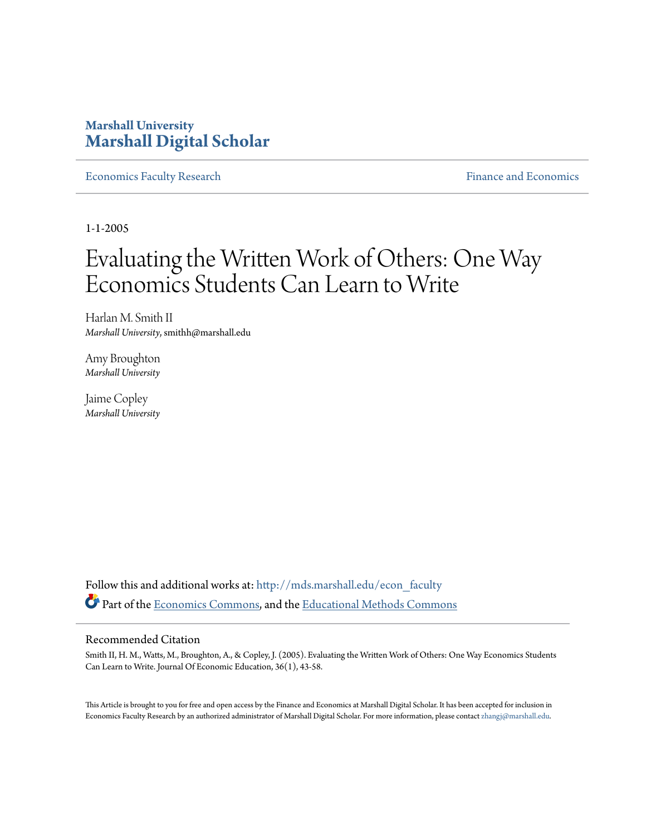## **Marshall University [Marshall Digital Scholar](http://mds.marshall.edu?utm_source=mds.marshall.edu%2Fecon_faculty%2F5&utm_medium=PDF&utm_campaign=PDFCoverPages)**

[Economics Faculty Research](http://mds.marshall.edu/econ_faculty?utm_source=mds.marshall.edu%2Fecon_faculty%2F5&utm_medium=PDF&utm_campaign=PDFCoverPages) [Finance and Economics](http://mds.marshall.edu/cob_fe?utm_source=mds.marshall.edu%2Fecon_faculty%2F5&utm_medium=PDF&utm_campaign=PDFCoverPages)

1-1-2005

# Evaluating the Written Work of Others: One Way Economics Students Can Learn to Write

Harlan M. Smith II *Marshall University*, smithh@marshall.edu

Amy Broughton *Marshall University*

Jaime Copley *Marshall University*

Follow this and additional works at: [http://mds.marshall.edu/econ\\_faculty](http://mds.marshall.edu/econ_faculty?utm_source=mds.marshall.edu%2Fecon_faculty%2F5&utm_medium=PDF&utm_campaign=PDFCoverPages) Part of the [Economics Commons,](http://network.bepress.com/hgg/discipline/340?utm_source=mds.marshall.edu%2Fecon_faculty%2F5&utm_medium=PDF&utm_campaign=PDFCoverPages) and the [Educational Methods Commons](http://network.bepress.com/hgg/discipline/1227?utm_source=mds.marshall.edu%2Fecon_faculty%2F5&utm_medium=PDF&utm_campaign=PDFCoverPages)

#### Recommended Citation

Smith II, H. M., Watts, M., Broughton, A., & Copley, J. (2005). Evaluating the Written Work of Others: One Way Economics Students Can Learn to Write. Journal Of Economic Education, 36(1), 43-58.

This Article is brought to you for free and open access by the Finance and Economics at Marshall Digital Scholar. It has been accepted for inclusion in Economics Faculty Research by an authorized administrator of Marshall Digital Scholar. For more information, please contact [zhangj@marshall.edu.](mailto:zhangj@marshall.edu)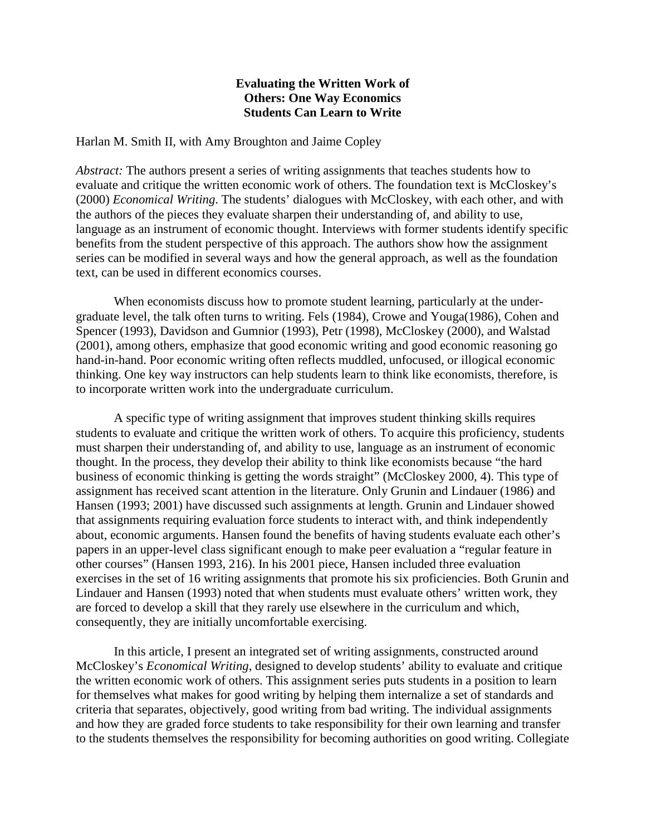## **Evaluating the Written Work of Others: One Way Economics Students Can Learn to Write**

Harlan M. Smith II, with Amy Broughton and Jaime Copley

*Abstract:* The authors present a series of writing assignments that teaches students how to evaluate and critique the written economic work of others. The foundation text is McCloskey's (2000) *Economical Writing*. The students' dialogues with McCloskey, with each other, and with the authors of the pieces they evaluate sharpen their understanding of, and ability to use, language as an instrument of economic thought. Interviews with former students identify specific benefits from the student perspective of this approach. The authors show how the assignment series can be modified in several ways and how the general approach, as well as the foundation text, can be used in different economics courses.

When economists discuss how to promote student learning, particularly at the undergraduate level, the talk often turns to writing. Fels (1984), Crowe and Youga(1986), Cohen and Spencer (1993), Davidson and Gumnior (1993), Petr (1998), McCloskey (2000), and Walstad (2001), among others, emphasize that good economic writing and good economic reasoning go hand-in-hand. Poor economic writing often reflects muddled, unfocused, or illogical economic thinking. One key way instructors can help students learn to think like economists, therefore, is to incorporate written work into the undergraduate curriculum.

A specific type of writing assignment that improves student thinking skills requires students to evaluate and critique the written work of others. To acquire this proficiency, students must sharpen their understanding of, and ability to use, language as an instrument of economic thought. In the process, they develop their ability to think like economists because "the hard business of economic thinking is getting the words straight" (McCloskey 2000, 4). This type of assignment has received scant attention in the literature. Only Grunin and Lindauer (1986) and Hansen (1993; 2001) have discussed such assignments at length. Grunin and Lindauer showed that assignments requiring evaluation force students to interact with, and think independently about, economic arguments. Hansen found the benefits of having students evaluate each other's papers in an upper-level class significant enough to make peer evaluation a "regular feature in other courses" (Hansen 1993, 216). In his 2001 piece, Hansen included three evaluation exercises in the set of 16 writing assignments that promote his six proficiencies. Both Grunin and Lindauer and Hansen (1993) noted that when students must evaluate others' written work, they are forced to develop a skill that they rarely use elsewhere in the curriculum and which, consequently, they are initially uncomfortable exercising.

In this article, I present an integrated set of writing assignments, constructed around McCloskey's *Economical Writing*, designed to develop students' ability to evaluate and critique the written economic work of others. This assignment series puts students in a position to learn for themselves what makes for good writing by helping them internalize a set of standards and criteria that separates, objectively, good writing from bad writing. The individual assignments and how they are graded force students to take responsibility for their own learning and transfer to the students themselves the responsibility for becoming authorities on good writing. Collegiate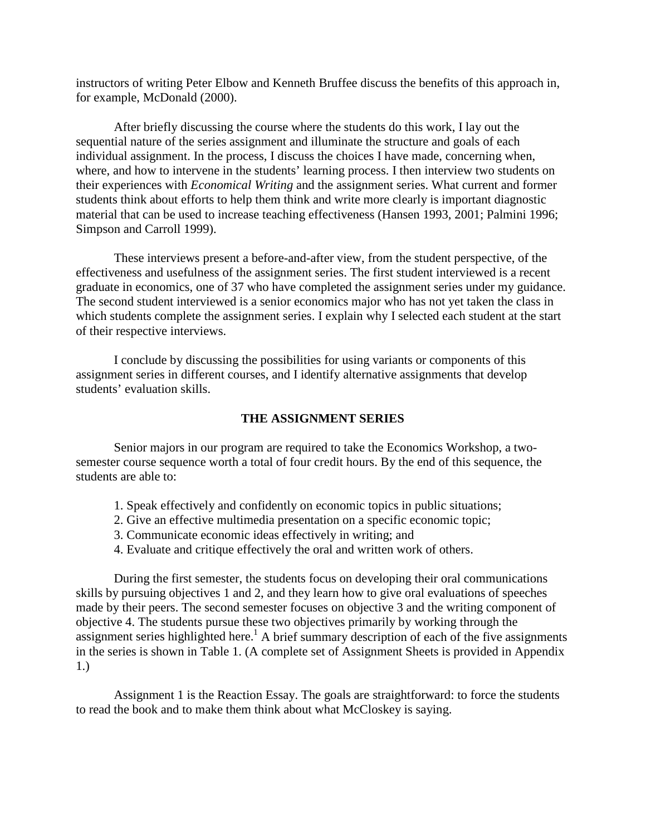instructors of writing Peter Elbow and Kenneth Bruffee discuss the benefits of this approach in, for example, McDonald (2000).

After briefly discussing the course where the students do this work, I lay out the sequential nature of the series assignment and illuminate the structure and goals of each individual assignment. In the process, I discuss the choices I have made, concerning when, where, and how to intervene in the students' learning process. I then interview two students on their experiences with *Economical Writing* and the assignment series. What current and former students think about efforts to help them think and write more clearly is important diagnostic material that can be used to increase teaching effectiveness (Hansen 1993, 2001; Palmini 1996; Simpson and Carroll 1999).

These interviews present a before-and-after view, from the student perspective, of the effectiveness and usefulness of the assignment series. The first student interviewed is a recent graduate in economics, one of 37 who have completed the assignment series under my guidance. The second student interviewed is a senior economics major who has not yet taken the class in which students complete the assignment series. I explain why I selected each student at the start of their respective interviews.

I conclude by discussing the possibilities for using variants or components of this assignment series in different courses, and I identify alternative assignments that develop students' evaluation skills.

#### **THE ASSIGNMENT SERIES**

Senior majors in our program are required to take the Economics Workshop, a twosemester course sequence worth a total of four credit hours. By the end of this sequence, the students are able to:

- 1. Speak effectively and confidently on economic topics in public situations;
- 2. Give an effective multimedia presentation on a specific economic topic;
- 3. Communicate economic ideas effectively in writing; and
- 4. Evaluate and critique effectively the oral and written work of others.

During the first semester, the students focus on developing their oral communications skills by pursuing objectives 1 and 2, and they learn how to give oral evaluations of speeches made by their peers. The second semester focuses on objective 3 and the writing component of objective 4. The students pursue these two objectives primarily by working through the assignment series highlighted here.<sup>1</sup> A brief summary description of each of the five assignments in the series is shown in Table 1. (A complete set of Assignment Sheets is provided in Appendix 1.)

Assignment 1 is the Reaction Essay. The goals are straightforward: to force the students to read the book and to make them think about what McCloskey is saying.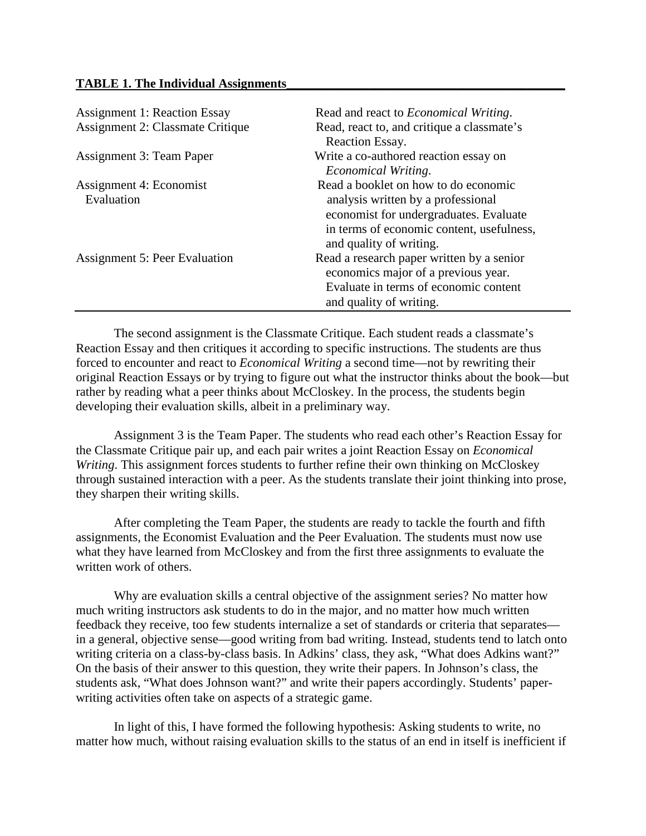#### **TABLE 1. The Individual Assignments\_\_\_\_\_\_\_\_\_\_\_\_\_\_\_\_\_\_\_\_\_\_\_\_\_\_\_\_\_\_\_\_\_\_\_\_\_\_\_\_\_\_\_\_**

| <b>Assignment 1: Reaction Essay</b><br>Assignment 2: Classmate Critique | Read and react to <i>Economical Writing</i> .<br>Read, react to, and critique a classmate's                                                                                                  |
|-------------------------------------------------------------------------|----------------------------------------------------------------------------------------------------------------------------------------------------------------------------------------------|
|                                                                         | Reaction Essay.                                                                                                                                                                              |
| Assignment 3: Team Paper                                                | Write a co-authored reaction essay on<br>Economical Writing.                                                                                                                                 |
| Assignment 4: Economist<br>Evaluation                                   | Read a booklet on how to do economic<br>analysis written by a professional<br>economist for undergraduates. Evaluate<br>in terms of economic content, usefulness,<br>and quality of writing. |
| <b>Assignment 5: Peer Evaluation</b>                                    | Read a research paper written by a senior<br>economics major of a previous year.<br>Evaluate in terms of economic content<br>and quality of writing.                                         |

The second assignment is the Classmate Critique. Each student reads a classmate's Reaction Essay and then critiques it according to specific instructions. The students are thus forced to encounter and react to *Economical Writing* a second time—not by rewriting their original Reaction Essays or by trying to figure out what the instructor thinks about the book—but rather by reading what a peer thinks about McCloskey. In the process, the students begin developing their evaluation skills, albeit in a preliminary way.

Assignment 3 is the Team Paper. The students who read each other's Reaction Essay for the Classmate Critique pair up, and each pair writes a joint Reaction Essay on *Economical Writing*. This assignment forces students to further refine their own thinking on McCloskey through sustained interaction with a peer. As the students translate their joint thinking into prose, they sharpen their writing skills.

After completing the Team Paper, the students are ready to tackle the fourth and fifth assignments, the Economist Evaluation and the Peer Evaluation. The students must now use what they have learned from McCloskey and from the first three assignments to evaluate the written work of others.

Why are evaluation skills a central objective of the assignment series? No matter how much writing instructors ask students to do in the major, and no matter how much written feedback they receive, too few students internalize a set of standards or criteria that separates in a general, objective sense—good writing from bad writing. Instead, students tend to latch onto writing criteria on a class-by-class basis. In Adkins' class, they ask, "What does Adkins want?" On the basis of their answer to this question, they write their papers. In Johnson's class, the students ask, "What does Johnson want?" and write their papers accordingly. Students' paperwriting activities often take on aspects of a strategic game.

In light of this, I have formed the following hypothesis: Asking students to write, no matter how much, without raising evaluation skills to the status of an end in itself is inefficient if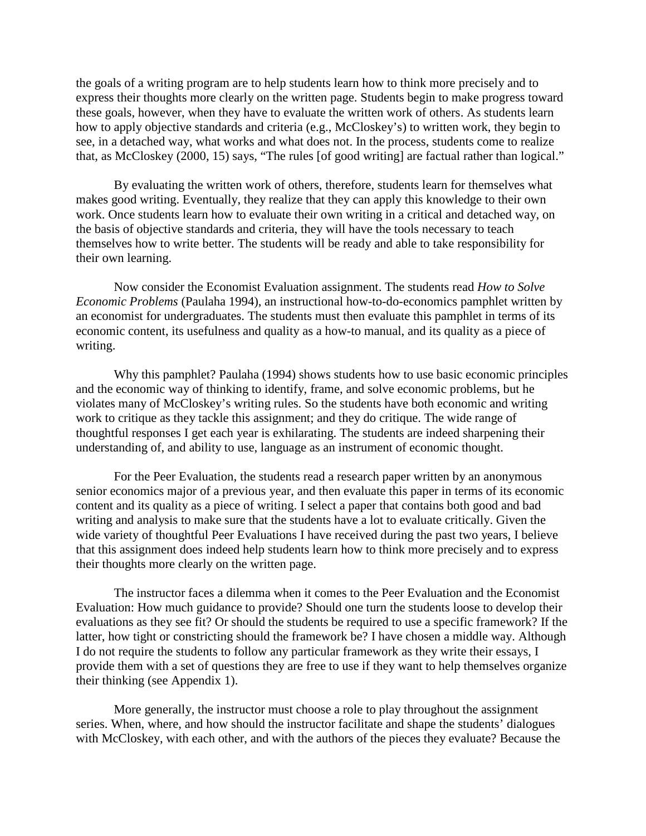the goals of a writing program are to help students learn how to think more precisely and to express their thoughts more clearly on the written page. Students begin to make progress toward these goals, however, when they have to evaluate the written work of others. As students learn how to apply objective standards and criteria (e.g., McCloskey's) to written work, they begin to see, in a detached way, what works and what does not. In the process, students come to realize that, as McCloskey (2000, 15) says, "The rules [of good writing] are factual rather than logical."

By evaluating the written work of others, therefore, students learn for themselves what makes good writing. Eventually, they realize that they can apply this knowledge to their own work. Once students learn how to evaluate their own writing in a critical and detached way, on the basis of objective standards and criteria, they will have the tools necessary to teach themselves how to write better. The students will be ready and able to take responsibility for their own learning.

Now consider the Economist Evaluation assignment. The students read *How to Solve Economic Problems* (Paulaha 1994), an instructional how-to-do-economics pamphlet written by an economist for undergraduates. The students must then evaluate this pamphlet in terms of its economic content, its usefulness and quality as a how-to manual, and its quality as a piece of writing.

Why this pamphlet? Paulaha (1994) shows students how to use basic economic principles and the economic way of thinking to identify, frame, and solve economic problems, but he violates many of McCloskey's writing rules. So the students have both economic and writing work to critique as they tackle this assignment; and they do critique. The wide range of thoughtful responses I get each year is exhilarating. The students are indeed sharpening their understanding of, and ability to use, language as an instrument of economic thought.

For the Peer Evaluation, the students read a research paper written by an anonymous senior economics major of a previous year, and then evaluate this paper in terms of its economic content and its quality as a piece of writing. I select a paper that contains both good and bad writing and analysis to make sure that the students have a lot to evaluate critically. Given the wide variety of thoughtful Peer Evaluations I have received during the past two years, I believe that this assignment does indeed help students learn how to think more precisely and to express their thoughts more clearly on the written page.

The instructor faces a dilemma when it comes to the Peer Evaluation and the Economist Evaluation: How much guidance to provide? Should one turn the students loose to develop their evaluations as they see fit? Or should the students be required to use a specific framework? If the latter, how tight or constricting should the framework be? I have chosen a middle way. Although I do not require the students to follow any particular framework as they write their essays, I provide them with a set of questions they are free to use if they want to help themselves organize their thinking (see Appendix 1).

More generally, the instructor must choose a role to play throughout the assignment series. When, where, and how should the instructor facilitate and shape the students' dialogues with McCloskey, with each other, and with the authors of the pieces they evaluate? Because the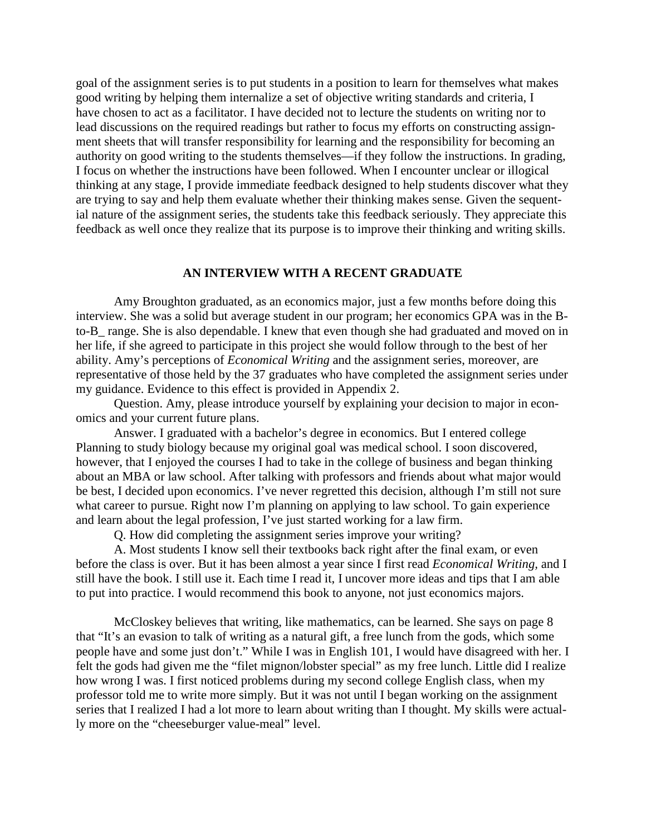goal of the assignment series is to put students in a position to learn for themselves what makes good writing by helping them internalize a set of objective writing standards and criteria, I have chosen to act as a facilitator. I have decided not to lecture the students on writing nor to lead discussions on the required readings but rather to focus my efforts on constructing assignment sheets that will transfer responsibility for learning and the responsibility for becoming an authority on good writing to the students themselves—if they follow the instructions. In grading, I focus on whether the instructions have been followed. When I encounter unclear or illogical thinking at any stage, I provide immediate feedback designed to help students discover what they are trying to say and help them evaluate whether their thinking makes sense. Given the sequential nature of the assignment series, the students take this feedback seriously. They appreciate this feedback as well once they realize that its purpose is to improve their thinking and writing skills.

#### **AN INTERVIEW WITH A RECENT GRADUATE**

Amy Broughton graduated, as an economics major, just a few months before doing this interview. She was a solid but average student in our program; her economics GPA was in the Bto-B\_ range. She is also dependable. I knew that even though she had graduated and moved on in her life, if she agreed to participate in this project she would follow through to the best of her ability. Amy's perceptions of *Economical Writing* and the assignment series, moreover, are representative of those held by the 37 graduates who have completed the assignment series under my guidance. Evidence to this effect is provided in Appendix 2.

Question. Amy, please introduce yourself by explaining your decision to major in economics and your current future plans.

Answer. I graduated with a bachelor's degree in economics. But I entered college Planning to study biology because my original goal was medical school. I soon discovered, however, that I enjoyed the courses I had to take in the college of business and began thinking about an MBA or law school. After talking with professors and friends about what major would be best, I decided upon economics. I've never regretted this decision, although I'm still not sure what career to pursue. Right now I'm planning on applying to law school. To gain experience and learn about the legal profession, I've just started working for a law firm.

Q. How did completing the assignment series improve your writing?

A. Most students I know sell their textbooks back right after the final exam, or even before the class is over. But it has been almost a year since I first read *Economical Writing,* and I still have the book. I still use it. Each time I read it, I uncover more ideas and tips that I am able to put into practice. I would recommend this book to anyone, not just economics majors.

McCloskey believes that writing, like mathematics, can be learned. She says on page 8 that "It's an evasion to talk of writing as a natural gift, a free lunch from the gods, which some people have and some just don't." While I was in English 101, I would have disagreed with her. I felt the gods had given me the "filet mignon/lobster special" as my free lunch. Little did I realize how wrong I was. I first noticed problems during my second college English class, when my professor told me to write more simply. But it was not until I began working on the assignment series that I realized I had a lot more to learn about writing than I thought. My skills were actually more on the "cheeseburger value-meal" level.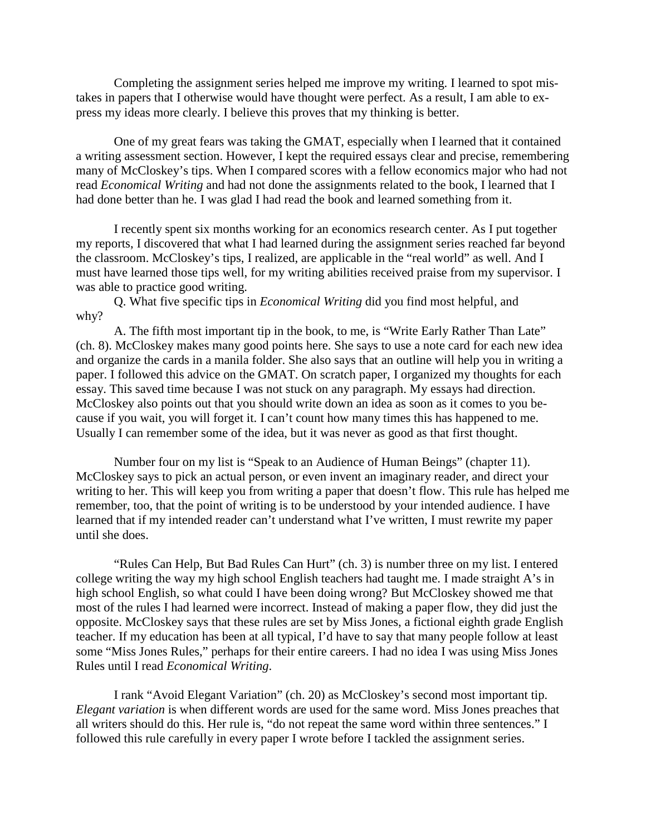Completing the assignment series helped me improve my writing. I learned to spot mistakes in papers that I otherwise would have thought were perfect. As a result, I am able to express my ideas more clearly. I believe this proves that my thinking is better.

One of my great fears was taking the GMAT, especially when I learned that it contained a writing assessment section. However, I kept the required essays clear and precise, remembering many of McCloskey's tips. When I compared scores with a fellow economics major who had not read *Economical Writing* and had not done the assignments related to the book, I learned that I had done better than he. I was glad I had read the book and learned something from it.

I recently spent six months working for an economics research center. As I put together my reports, I discovered that what I had learned during the assignment series reached far beyond the classroom. McCloskey's tips, I realized, are applicable in the "real world" as well. And I must have learned those tips well, for my writing abilities received praise from my supervisor. I was able to practice good writing.

Q. What five specific tips in *Economical Writing* did you find most helpful, and why?

A. The fifth most important tip in the book, to me, is "Write Early Rather Than Late" (ch. 8). McCloskey makes many good points here. She says to use a note card for each new idea and organize the cards in a manila folder. She also says that an outline will help you in writing a paper. I followed this advice on the GMAT. On scratch paper, I organized my thoughts for each essay. This saved time because I was not stuck on any paragraph. My essays had direction. McCloskey also points out that you should write down an idea as soon as it comes to you because if you wait, you will forget it. I can't count how many times this has happened to me. Usually I can remember some of the idea, but it was never as good as that first thought.

Number four on my list is "Speak to an Audience of Human Beings" (chapter 11). McCloskey says to pick an actual person, or even invent an imaginary reader, and direct your writing to her. This will keep you from writing a paper that doesn't flow. This rule has helped me remember, too, that the point of writing is to be understood by your intended audience. I have learned that if my intended reader can't understand what I've written, I must rewrite my paper until she does.

"Rules Can Help, But Bad Rules Can Hurt" (ch. 3) is number three on my list. I entered college writing the way my high school English teachers had taught me. I made straight A's in high school English, so what could I have been doing wrong? But McCloskey showed me that most of the rules I had learned were incorrect. Instead of making a paper flow, they did just the opposite. McCloskey says that these rules are set by Miss Jones, a fictional eighth grade English teacher. If my education has been at all typical, I'd have to say that many people follow at least some "Miss Jones Rules," perhaps for their entire careers. I had no idea I was using Miss Jones Rules until I read *Economical Writing*.

I rank "Avoid Elegant Variation" (ch. 20) as McCloskey's second most important tip. *Elegant variation* is when different words are used for the same word. Miss Jones preaches that all writers should do this. Her rule is, "do not repeat the same word within three sentences." I followed this rule carefully in every paper I wrote before I tackled the assignment series.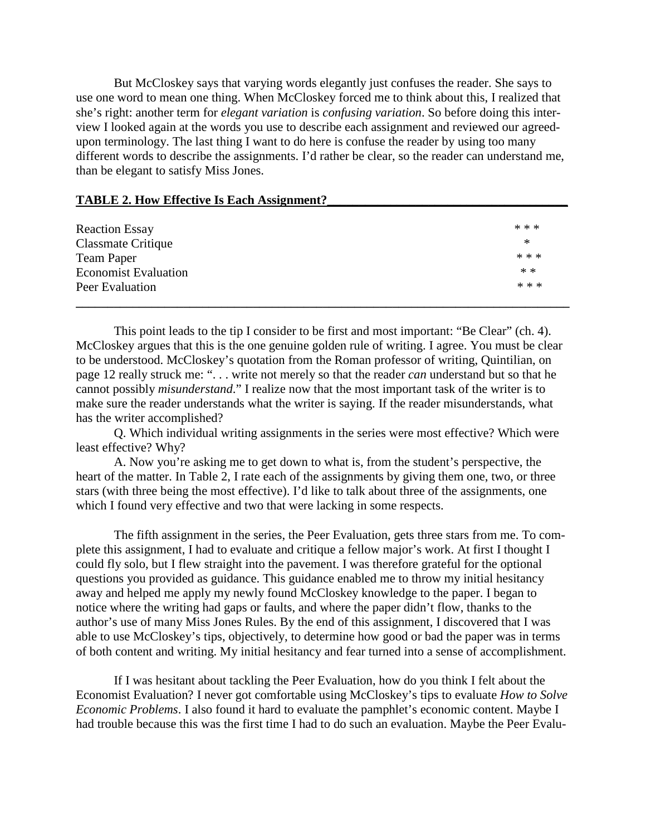But McCloskey says that varying words elegantly just confuses the reader. She says to use one word to mean one thing. When McCloskey forced me to think about this, I realized that she's right: another term for *elegant variation* is *confusing variation*. So before doing this interview I looked again at the words you use to describe each assignment and reviewed our agreedupon terminology. The last thing I want to do here is confuse the reader by using too many different words to describe the assignments. I'd rather be clear, so the reader can understand me, than be elegant to satisfy Miss Jones.

#### **TABLE 2. How Effective Is Each Assignment?**

| ∗<br>* * * |
|------------|
|            |
|            |
| $* *$      |
| * * *      |
|            |

This point leads to the tip I consider to be first and most important: "Be Clear" (ch. 4). McCloskey argues that this is the one genuine golden rule of writing. I agree. You must be clear to be understood. McCloskey's quotation from the Roman professor of writing, Quintilian, on page 12 really struck me: ". . . write not merely so that the reader *can* understand but so that he cannot possibly *misunderstand*." I realize now that the most important task of the writer is to make sure the reader understands what the writer is saying. If the reader misunderstands, what has the writer accomplished?

Q. Which individual writing assignments in the series were most effective? Which were least effective? Why?

A. Now you're asking me to get down to what is, from the student's perspective, the heart of the matter. In Table 2, I rate each of the assignments by giving them one, two, or three stars (with three being the most effective). I'd like to talk about three of the assignments, one which I found very effective and two that were lacking in some respects.

The fifth assignment in the series, the Peer Evaluation, gets three stars from me. To complete this assignment, I had to evaluate and critique a fellow major's work. At first I thought I could fly solo, but I flew straight into the pavement. I was therefore grateful for the optional questions you provided as guidance. This guidance enabled me to throw my initial hesitancy away and helped me apply my newly found McCloskey knowledge to the paper. I began to notice where the writing had gaps or faults, and where the paper didn't flow, thanks to the author's use of many Miss Jones Rules. By the end of this assignment, I discovered that I was able to use McCloskey's tips, objectively, to determine how good or bad the paper was in terms of both content and writing. My initial hesitancy and fear turned into a sense of accomplishment.

If I was hesitant about tackling the Peer Evaluation, how do you think I felt about the Economist Evaluation? I never got comfortable using McCloskey's tips to evaluate *How to Solve Economic Problems*. I also found it hard to evaluate the pamphlet's economic content. Maybe I had trouble because this was the first time I had to do such an evaluation. Maybe the Peer Evalu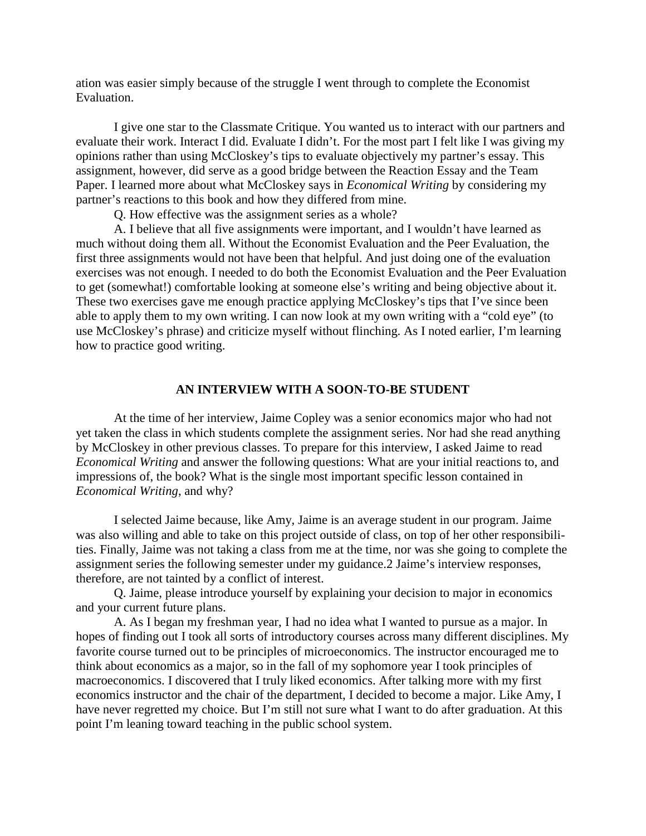ation was easier simply because of the struggle I went through to complete the Economist Evaluation.

I give one star to the Classmate Critique. You wanted us to interact with our partners and evaluate their work. Interact I did. Evaluate I didn't. For the most part I felt like I was giving my opinions rather than using McCloskey's tips to evaluate objectively my partner's essay. This assignment, however, did serve as a good bridge between the Reaction Essay and the Team Paper. I learned more about what McCloskey says in *Economical Writing* by considering my partner's reactions to this book and how they differed from mine.

Q. How effective was the assignment series as a whole?

A. I believe that all five assignments were important, and I wouldn't have learned as much without doing them all. Without the Economist Evaluation and the Peer Evaluation, the first three assignments would not have been that helpful. And just doing one of the evaluation exercises was not enough. I needed to do both the Economist Evaluation and the Peer Evaluation to get (somewhat!) comfortable looking at someone else's writing and being objective about it. These two exercises gave me enough practice applying McCloskey's tips that I've since been able to apply them to my own writing. I can now look at my own writing with a "cold eye" (to use McCloskey's phrase) and criticize myself without flinching. As I noted earlier, I'm learning how to practice good writing.

#### **AN INTERVIEW WITH A SOON-TO-BE STUDENT**

At the time of her interview, Jaime Copley was a senior economics major who had not yet taken the class in which students complete the assignment series. Nor had she read anything by McCloskey in other previous classes. To prepare for this interview, I asked Jaime to read *Economical Writing* and answer the following questions: What are your initial reactions to, and impressions of, the book? What is the single most important specific lesson contained in *Economical Writing*, and why?

I selected Jaime because, like Amy, Jaime is an average student in our program. Jaime was also willing and able to take on this project outside of class, on top of her other responsibilities. Finally, Jaime was not taking a class from me at the time, nor was she going to complete the assignment series the following semester under my guidance.2 Jaime's interview responses, therefore, are not tainted by a conflict of interest.

Q. Jaime, please introduce yourself by explaining your decision to major in economics and your current future plans.

A. As I began my freshman year, I had no idea what I wanted to pursue as a major. In hopes of finding out I took all sorts of introductory courses across many different disciplines. My favorite course turned out to be principles of microeconomics. The instructor encouraged me to think about economics as a major, so in the fall of my sophomore year I took principles of macroeconomics. I discovered that I truly liked economics. After talking more with my first economics instructor and the chair of the department, I decided to become a major. Like Amy, I have never regretted my choice. But I'm still not sure what I want to do after graduation. At this point I'm leaning toward teaching in the public school system.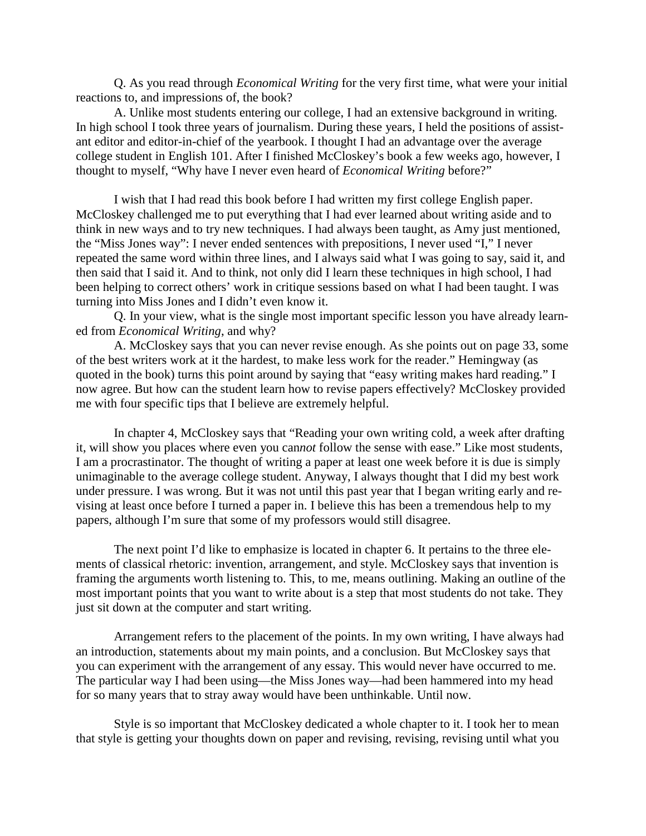Q. As you read through *Economical Writing* for the very first time, what were your initial reactions to, and impressions of, the book?

A. Unlike most students entering our college, I had an extensive background in writing. In high school I took three years of journalism. During these years, I held the positions of assistant editor and editor-in-chief of the yearbook. I thought I had an advantage over the average college student in English 101. After I finished McCloskey's book a few weeks ago, however, I thought to myself, "Why have I never even heard of *Economical Writing* before?"

I wish that I had read this book before I had written my first college English paper. McCloskey challenged me to put everything that I had ever learned about writing aside and to think in new ways and to try new techniques. I had always been taught, as Amy just mentioned, the "Miss Jones way": I never ended sentences with prepositions, I never used "I," I never repeated the same word within three lines, and I always said what I was going to say, said it, and then said that I said it. And to think, not only did I learn these techniques in high school, I had been helping to correct others' work in critique sessions based on what I had been taught. I was turning into Miss Jones and I didn't even know it.

Q. In your view, what is the single most important specific lesson you have already learned from *Economical Writing*, and why?

A. McCloskey says that you can never revise enough. As she points out on page 33, some of the best writers work at it the hardest, to make less work for the reader." Hemingway (as quoted in the book) turns this point around by saying that "easy writing makes hard reading." I now agree. But how can the student learn how to revise papers effectively? McCloskey provided me with four specific tips that I believe are extremely helpful.

In chapter 4, McCloskey says that "Reading your own writing cold, a week after drafting it, will show you places where even you can*not* follow the sense with ease." Like most students, I am a procrastinator. The thought of writing a paper at least one week before it is due is simply unimaginable to the average college student. Anyway, I always thought that I did my best work under pressure. I was wrong. But it was not until this past year that I began writing early and revising at least once before I turned a paper in. I believe this has been a tremendous help to my papers, although I'm sure that some of my professors would still disagree.

The next point I'd like to emphasize is located in chapter 6. It pertains to the three elements of classical rhetoric: invention, arrangement, and style. McCloskey says that invention is framing the arguments worth listening to. This, to me, means outlining. Making an outline of the most important points that you want to write about is a step that most students do not take. They just sit down at the computer and start writing.

Arrangement refers to the placement of the points. In my own writing, I have always had an introduction, statements about my main points, and a conclusion. But McCloskey says that you can experiment with the arrangement of any essay. This would never have occurred to me. The particular way I had been using—the Miss Jones way—had been hammered into my head for so many years that to stray away would have been unthinkable. Until now.

Style is so important that McCloskey dedicated a whole chapter to it. I took her to mean that style is getting your thoughts down on paper and revising, revising, revising until what you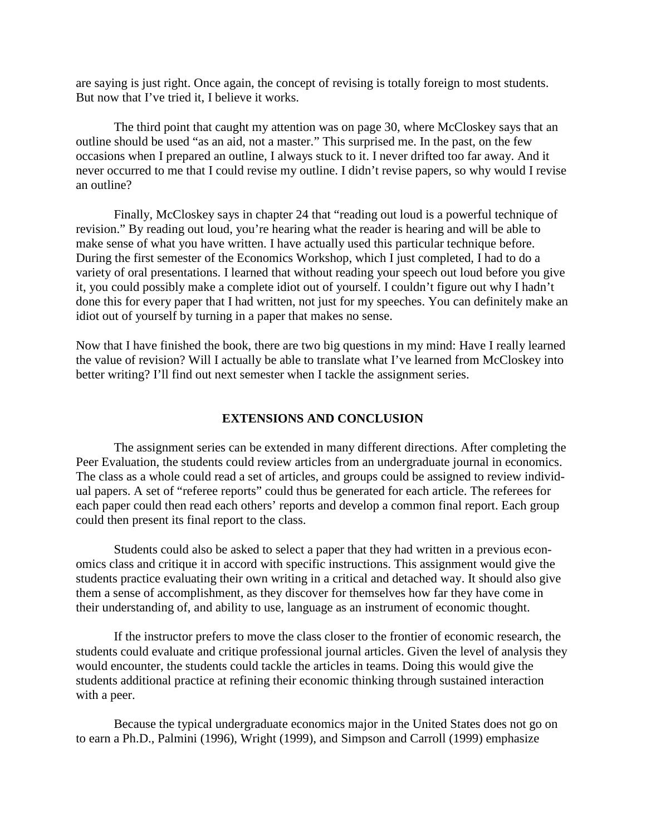are saying is just right. Once again, the concept of revising is totally foreign to most students. But now that I've tried it, I believe it works.

The third point that caught my attention was on page 30, where McCloskey says that an outline should be used "as an aid, not a master." This surprised me. In the past, on the few occasions when I prepared an outline, I always stuck to it. I never drifted too far away. And it never occurred to me that I could revise my outline. I didn't revise papers, so why would I revise an outline?

Finally, McCloskey says in chapter 24 that "reading out loud is a powerful technique of revision." By reading out loud, you're hearing what the reader is hearing and will be able to make sense of what you have written. I have actually used this particular technique before. During the first semester of the Economics Workshop, which I just completed, I had to do a variety of oral presentations. I learned that without reading your speech out loud before you give it, you could possibly make a complete idiot out of yourself. I couldn't figure out why I hadn't done this for every paper that I had written, not just for my speeches. You can definitely make an idiot out of yourself by turning in a paper that makes no sense.

Now that I have finished the book, there are two big questions in my mind: Have I really learned the value of revision? Will I actually be able to translate what I've learned from McCloskey into better writing? I'll find out next semester when I tackle the assignment series.

#### **EXTENSIONS AND CONCLUSION**

The assignment series can be extended in many different directions. After completing the Peer Evaluation, the students could review articles from an undergraduate journal in economics. The class as a whole could read a set of articles, and groups could be assigned to review individual papers. A set of "referee reports" could thus be generated for each article. The referees for each paper could then read each others' reports and develop a common final report. Each group could then present its final report to the class.

Students could also be asked to select a paper that they had written in a previous economics class and critique it in accord with specific instructions. This assignment would give the students practice evaluating their own writing in a critical and detached way. It should also give them a sense of accomplishment, as they discover for themselves how far they have come in their understanding of, and ability to use, language as an instrument of economic thought.

If the instructor prefers to move the class closer to the frontier of economic research, the students could evaluate and critique professional journal articles. Given the level of analysis they would encounter, the students could tackle the articles in teams. Doing this would give the students additional practice at refining their economic thinking through sustained interaction with a peer.

Because the typical undergraduate economics major in the United States does not go on to earn a Ph.D., Palmini (1996), Wright (1999), and Simpson and Carroll (1999) emphasize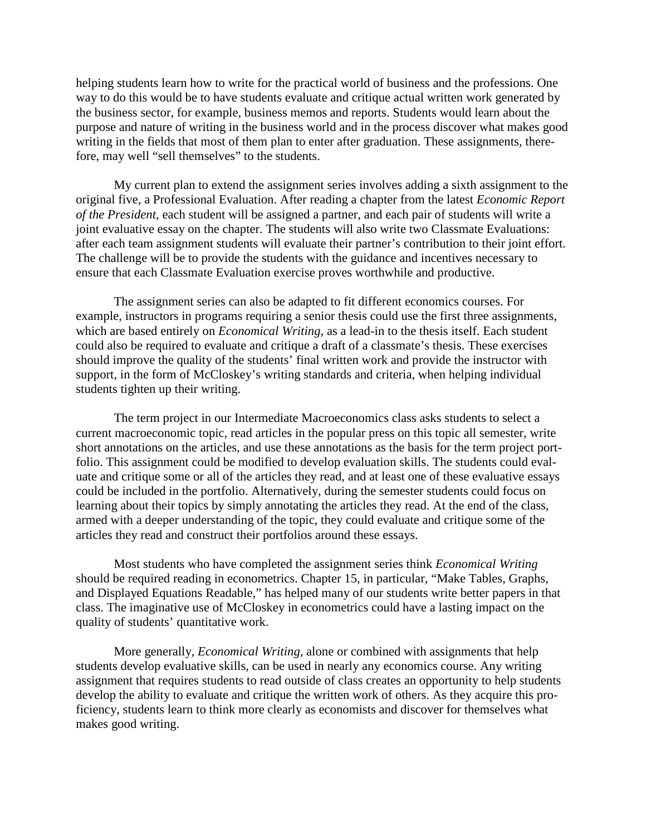helping students learn how to write for the practical world of business and the professions. One way to do this would be to have students evaluate and critique actual written work generated by the business sector, for example, business memos and reports. Students would learn about the purpose and nature of writing in the business world and in the process discover what makes good writing in the fields that most of them plan to enter after graduation. These assignments, therefore, may well "sell themselves" to the students.

My current plan to extend the assignment series involves adding a sixth assignment to the original five, a Professional Evaluation. After reading a chapter from the latest *Economic Report of the President*, each student will be assigned a partner, and each pair of students will write a joint evaluative essay on the chapter. The students will also write two Classmate Evaluations: after each team assignment students will evaluate their partner's contribution to their joint effort. The challenge will be to provide the students with the guidance and incentives necessary to ensure that each Classmate Evaluation exercise proves worthwhile and productive.

The assignment series can also be adapted to fit different economics courses. For example, instructors in programs requiring a senior thesis could use the first three assignments, which are based entirely on *Economical Writing*, as a lead-in to the thesis itself. Each student could also be required to evaluate and critique a draft of a classmate's thesis. These exercises should improve the quality of the students' final written work and provide the instructor with support, in the form of McCloskey's writing standards and criteria, when helping individual students tighten up their writing.

The term project in our Intermediate Macroeconomics class asks students to select a current macroeconomic topic, read articles in the popular press on this topic all semester, write short annotations on the articles, and use these annotations as the basis for the term project portfolio. This assignment could be modified to develop evaluation skills. The students could evaluate and critique some or all of the articles they read, and at least one of these evaluative essays could be included in the portfolio. Alternatively, during the semester students could focus on learning about their topics by simply annotating the articles they read. At the end of the class, armed with a deeper understanding of the topic, they could evaluate and critique some of the articles they read and construct their portfolios around these essays.

Most students who have completed the assignment series think *Economical Writing*  should be required reading in econometrics. Chapter 15, in particular, "Make Tables, Graphs, and Displayed Equations Readable," has helped many of our students write better papers in that class. The imaginative use of McCloskey in econometrics could have a lasting impact on the quality of students' quantitative work.

More generally, *Economical Writing*, alone or combined with assignments that help students develop evaluative skills, can be used in nearly any economics course. Any writing assignment that requires students to read outside of class creates an opportunity to help students develop the ability to evaluate and critique the written work of others. As they acquire this proficiency, students learn to think more clearly as economists and discover for themselves what makes good writing.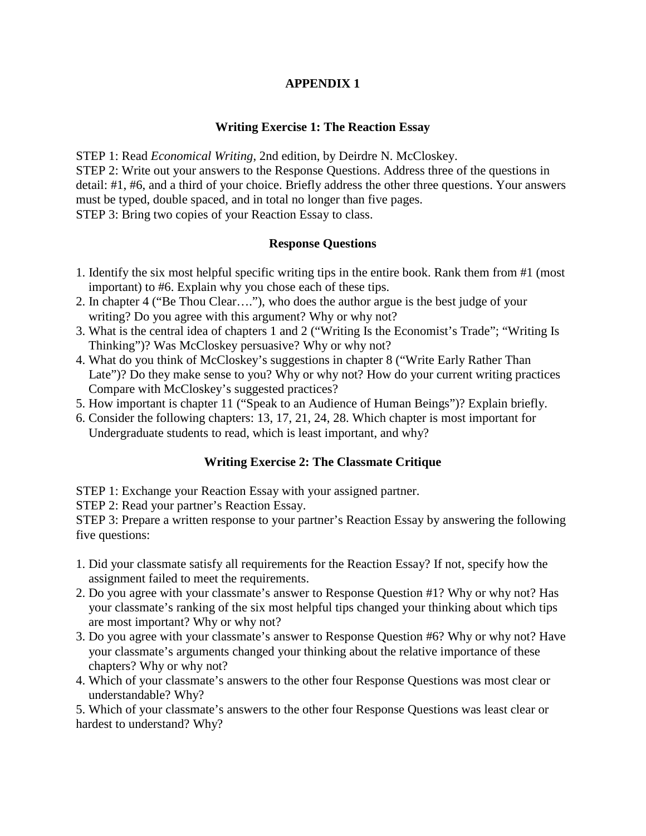## **APPENDIX 1**

## **Writing Exercise 1: The Reaction Essay**

STEP 1: Read *Economical Writing*, 2nd edition, by Deirdre N. McCloskey. STEP 2: Write out your answers to the Response Questions. Address three of the questions in detail: #1, #6, and a third of your choice. Briefly address the other three questions. Your answers must be typed, double spaced, and in total no longer than five pages. STEP 3: Bring two copies of your Reaction Essay to class.

## **Response Questions**

- 1. Identify the six most helpful specific writing tips in the entire book. Rank them from #1 (most important) to #6. Explain why you chose each of these tips.
- 2. In chapter 4 ("Be Thou Clear…."), who does the author argue is the best judge of your writing? Do you agree with this argument? Why or why not?
- 3. What is the central idea of chapters 1 and 2 ("Writing Is the Economist's Trade"; "Writing Is Thinking")? Was McCloskey persuasive? Why or why not?
- 4. What do you think of McCloskey's suggestions in chapter 8 ("Write Early Rather Than Late")? Do they make sense to you? Why or why not? How do your current writing practices Compare with McCloskey's suggested practices?
- 5. How important is chapter 11 ("Speak to an Audience of Human Beings")? Explain briefly.
- 6. Consider the following chapters: 13, 17, 21, 24, 28. Which chapter is most important for Undergraduate students to read, which is least important, and why?

## **Writing Exercise 2: The Classmate Critique**

STEP 1: Exchange your Reaction Essay with your assigned partner.

STEP 2: Read your partner's Reaction Essay.

STEP 3: Prepare a written response to your partner's Reaction Essay by answering the following five questions:

- 1. Did your classmate satisfy all requirements for the Reaction Essay? If not, specify how the assignment failed to meet the requirements.
- 2. Do you agree with your classmate's answer to Response Question #1? Why or why not? Has your classmate's ranking of the six most helpful tips changed your thinking about which tips are most important? Why or why not?
- 3. Do you agree with your classmate's answer to Response Question #6? Why or why not? Have your classmate's arguments changed your thinking about the relative importance of these chapters? Why or why not?
- 4. Which of your classmate's answers to the other four Response Questions was most clear or understandable? Why?

5. Which of your classmate's answers to the other four Response Questions was least clear or hardest to understand? Why?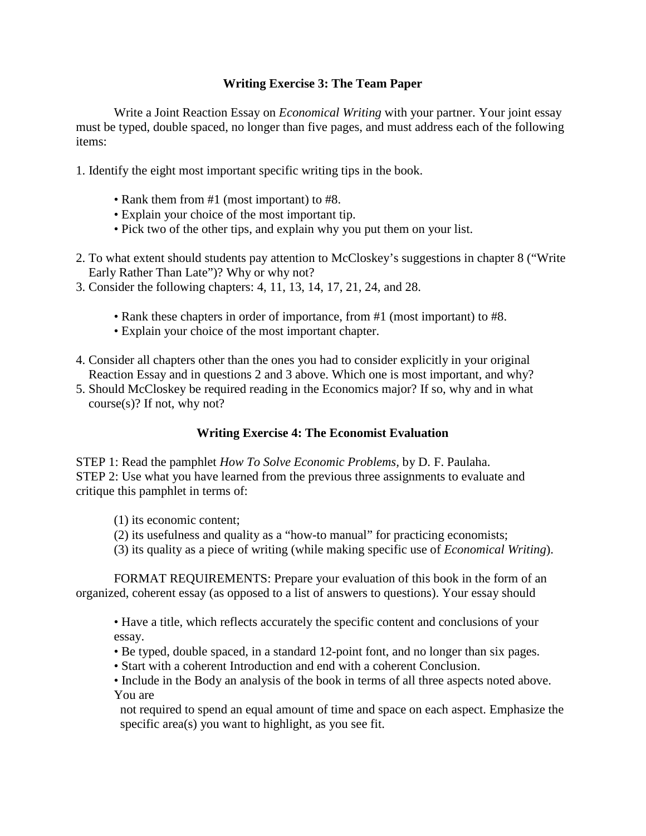## **Writing Exercise 3: The Team Paper**

Write a Joint Reaction Essay on *Economical Writing* with your partner. Your joint essay must be typed, double spaced, no longer than five pages, and must address each of the following items:

- 1. Identify the eight most important specific writing tips in the book.
	- Rank them from #1 (most important) to #8.
	- Explain your choice of the most important tip.
	- Pick two of the other tips, and explain why you put them on your list.
- 2. To what extent should students pay attention to McCloskey's suggestions in chapter 8 ("Write Early Rather Than Late")? Why or why not?
- 3. Consider the following chapters: 4, 11, 13, 14, 17, 21, 24, and 28.
	- Rank these chapters in order of importance, from #1 (most important) to #8.
	- Explain your choice of the most important chapter.
- 4. Consider all chapters other than the ones you had to consider explicitly in your original Reaction Essay and in questions 2 and 3 above. Which one is most important, and why?
- 5. Should McCloskey be required reading in the Economics major? If so, why and in what course(s)? If not, why not?

#### **Writing Exercise 4: The Economist Evaluation**

STEP 1: Read the pamphlet *How To Solve Economic Problems,* by D. F. Paulaha. STEP 2: Use what you have learned from the previous three assignments to evaluate and critique this pamphlet in terms of:

- (1) its economic content;
- (2) its usefulness and quality as a "how-to manual" for practicing economists;
- (3) its quality as a piece of writing (while making specific use of *Economical Writing*).

FORMAT REQUIREMENTS: Prepare your evaluation of this book in the form of an organized, coherent essay (as opposed to a list of answers to questions). Your essay should

• Have a title, which reflects accurately the specific content and conclusions of your essay.

- Be typed, double spaced, in a standard 12-point font, and no longer than six pages.
- Start with a coherent Introduction and end with a coherent Conclusion.
- Include in the Body an analysis of the book in terms of all three aspects noted above. You are

 not required to spend an equal amount of time and space on each aspect. Emphasize the specific area(s) you want to highlight, as you see fit.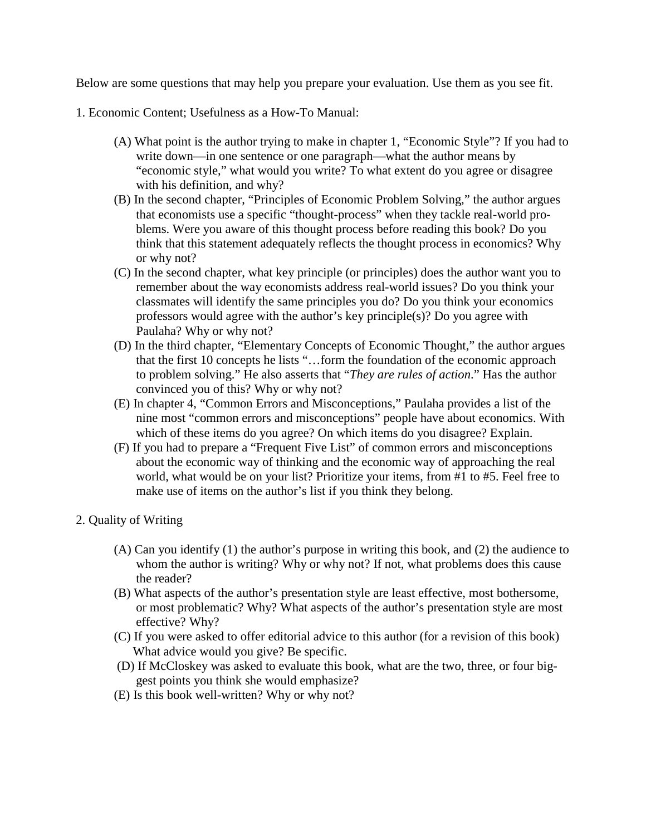Below are some questions that may help you prepare your evaluation. Use them as you see fit.

- 1. Economic Content; Usefulness as a How-To Manual:
	- (A) What point is the author trying to make in chapter 1, "Economic Style"? If you had to write down—in one sentence or one paragraph—what the author means by "economic style," what would you write? To what extent do you agree or disagree with his definition, and why?
	- (B) In the second chapter, "Principles of Economic Problem Solving," the author argues that economists use a specific "thought-process" when they tackle real-world pro blems. Were you aware of this thought process before reading this book? Do you think that this statement adequately reflects the thought process in economics? Why or why not?
	- (C) In the second chapter, what key principle (or principles) does the author want you to remember about the way economists address real-world issues? Do you think your classmates will identify the same principles you do? Do you think your economics professors would agree with the author's key principle(s)? Do you agree with Paulaha? Why or why not?
	- (D) In the third chapter, "Elementary Concepts of Economic Thought," the author argues that the first 10 concepts he lists "…form the foundation of the economic approach to problem solving." He also asserts that "*They are rules of action*." Has the author convinced you of this? Why or why not?
	- (E) In chapter 4, "Common Errors and Misconceptions," Paulaha provides a list of the nine most "common errors and misconceptions" people have about economics. With which of these items do you agree? On which items do you disagree? Explain.
	- (F) If you had to prepare a "Frequent Five List" of common errors and misconceptions about the economic way of thinking and the economic way of approaching the real world, what would be on your list? Prioritize your items, from #1 to #5. Feel free to make use of items on the author's list if you think they belong.
- 2. Quality of Writing
	- (A) Can you identify (1) the author's purpose in writing this book, and (2) the audience to whom the author is writing? Why or why not? If not, what problems does this cause the reader?
	- (B) What aspects of the author's presentation style are least effective, most bothersome, or most problematic? Why? What aspects of the author's presentation style are most effective? Why?
	- (C) If you were asked to offer editorial advice to this author (for a revision of this book) What advice would you give? Be specific.
	- (D) If McCloskey was asked to evaluate this book, what are the two, three, or four big gest points you think she would emphasize?
	- (E) Is this book well-written? Why or why not?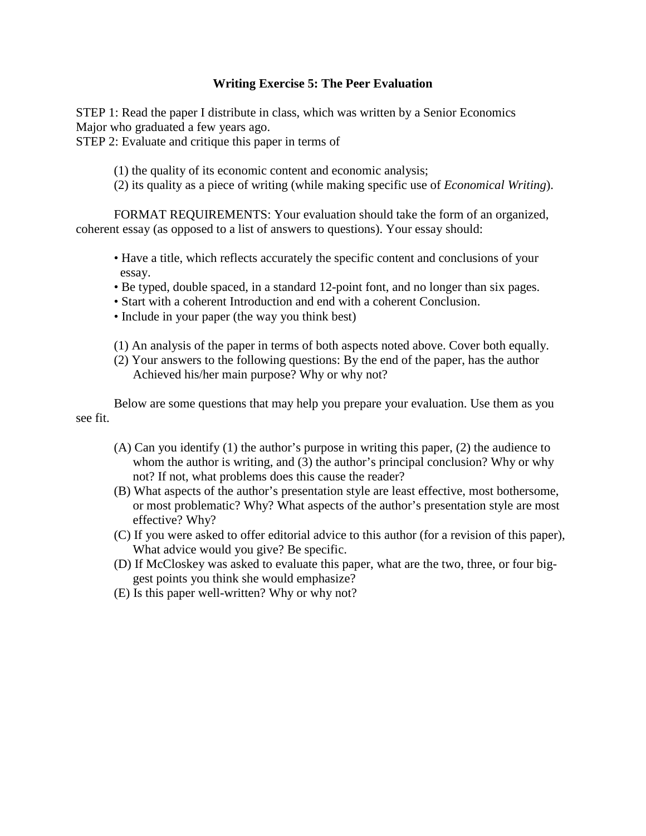## **Writing Exercise 5: The Peer Evaluation**

STEP 1: Read the paper I distribute in class, which was written by a Senior Economics Major who graduated a few years ago.

STEP 2: Evaluate and critique this paper in terms of

- (1) the quality of its economic content and economic analysis;
- (2) its quality as a piece of writing (while making specific use of *Economical Writing*).

FORMAT REQUIREMENTS: Your evaluation should take the form of an organized, coherent essay (as opposed to a list of answers to questions). Your essay should:

- Have a title, which reflects accurately the specific content and conclusions of your essay.
- Be typed, double spaced, in a standard 12-point font, and no longer than six pages.
- Start with a coherent Introduction and end with a coherent Conclusion.
- Include in your paper (the way you think best)
- (1) An analysis of the paper in terms of both aspects noted above. Cover both equally.
- (2) Your answers to the following questions: By the end of the paper, has the author Achieved his/her main purpose? Why or why not?

Below are some questions that may help you prepare your evaluation. Use them as you see fit.

- (A) Can you identify (1) the author's purpose in writing this paper, (2) the audience to whom the author is writing, and (3) the author's principal conclusion? Why or why not? If not, what problems does this cause the reader?
- (B) What aspects of the author's presentation style are least effective, most bothersome, or most problematic? Why? What aspects of the author's presentation style are most effective? Why?
- (C) If you were asked to offer editorial advice to this author (for a revision of this paper), What advice would you give? Be specific.
- (D) If McCloskey was asked to evaluate this paper, what are the two, three, or four big gest points you think she would emphasize?
- (E) Is this paper well-written? Why or why not?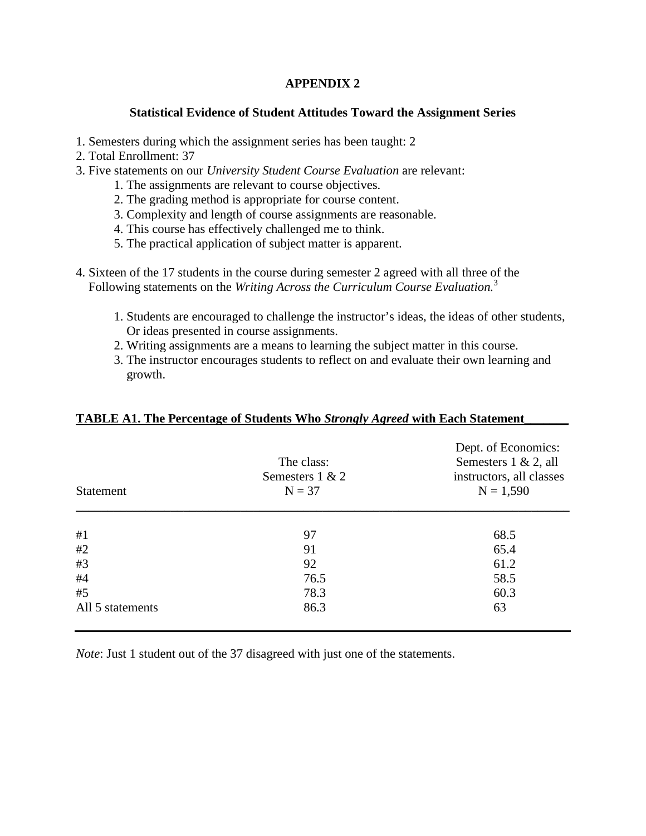## **APPENDIX 2**

#### **Statistical Evidence of Student Attitudes Toward the Assignment Series**

- 1. Semesters during which the assignment series has been taught: 2
- 2. Total Enrollment: 37
- 3. Five statements on our *University Student Course Evaluation* are relevant:
	- 1. The assignments are relevant to course objectives.
	- 2. The grading method is appropriate for course content.
	- 3. Complexity and length of course assignments are reasonable.
	- 4. This course has effectively challenged me to think.
	- 5. The practical application of subject matter is apparent.
- 4. Sixteen of the 17 students in the course during semester 2 agreed with all three of the Following statements on the *Writing Across the Curriculum Course Evaluation.*<sup>3</sup>
	- 1. Students are encouraged to challenge the instructor's ideas, the ideas of other students, Or ideas presented in course assignments.
	- 2. Writing assignments are a means to learning the subject matter in this course.
	- 3. The instructor encourages students to reflect on and evaluate their own learning and growth.

#### **TABLE A1. The Percentage of Students Who** *Strongly Agreed* **with Each Statement\_\_\_\_\_\_\_**

| <b>Statement</b> | The class:<br>Semesters 1 & 2<br>$N = 37$ | Dept. of Economics:<br>Semesters 1 & 2, all<br>instructors, all classes<br>$N = 1,590$ |
|------------------|-------------------------------------------|----------------------------------------------------------------------------------------|
|                  |                                           |                                                                                        |
| #1               | 97                                        | 68.5                                                                                   |
| #2               | 91                                        | 65.4                                                                                   |
| #3               | 92                                        | 61.2                                                                                   |
| #4               | 76.5                                      | 58.5                                                                                   |
| #5               | 78.3                                      | 60.3                                                                                   |
| All 5 statements | 86.3                                      | 63                                                                                     |

*Note*: Just 1 student out of the 37 disagreed with just one of the statements.